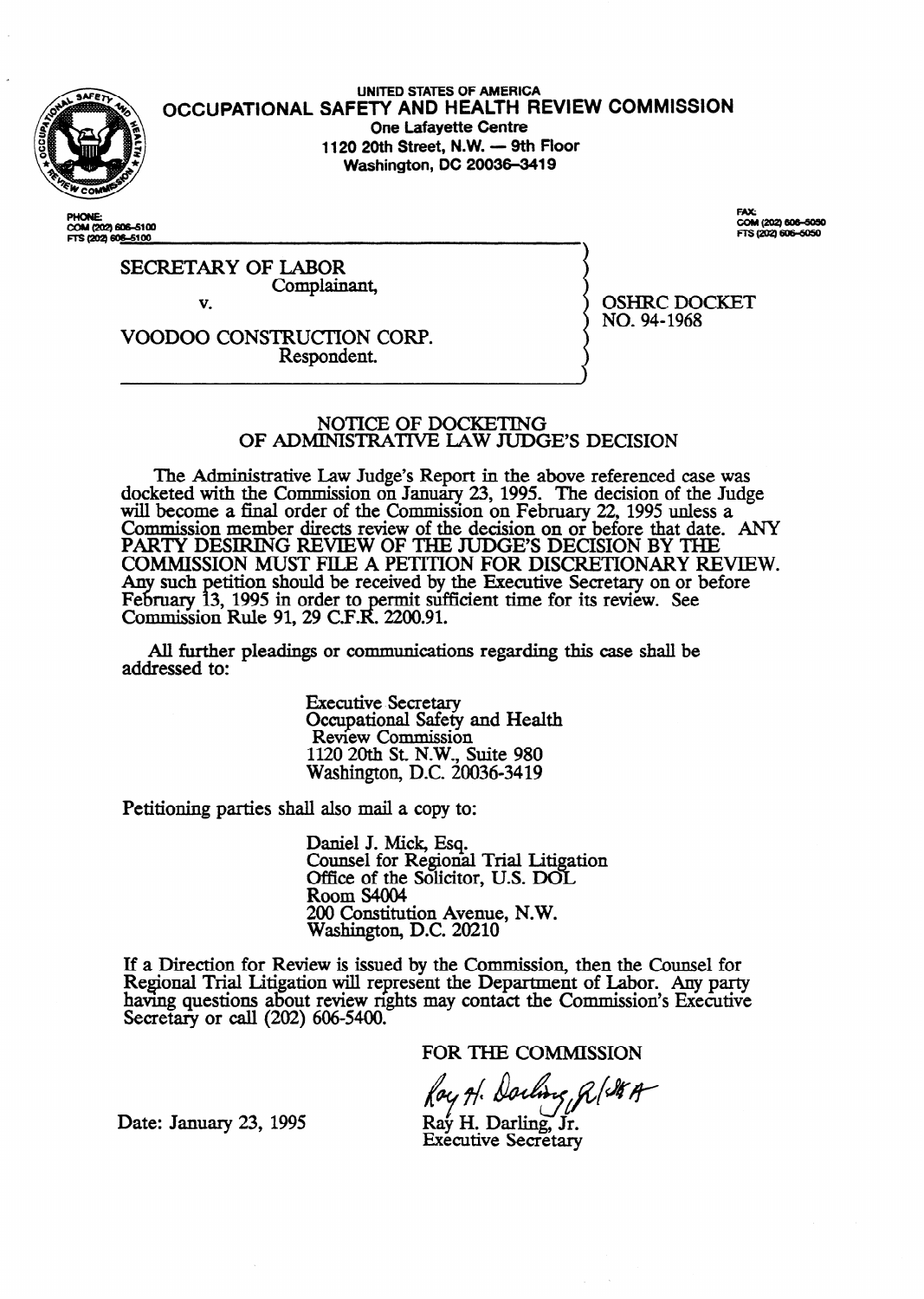

**UNITED STATES OF AMERICA SAFETY AND HEALTH REVIEW OCCUPATIONAL One Lafayette Centre 1120 20th Street, N.W. - 9th Floor Washington, DC 20036-3419** 

**PHONE:** COM (202) 606-5100 COM (202) 606-5050 TS (202) 606-6050

OSHRC DOCKET

NO. 94-1968

SECRETARY OF LABOR Complainant,

v.

VOODOO CONSTRUCTION CORP. Respondent.

> NOTICE OF DOCKETING OF ADMINISTRATIVE LAW JUDGE'S DECISION

The Administrative Law Judge's Report in the above referenced case was docketed with the Commission on January 23, 1995. The decision of the Judge will become a final order of the Commission on February 22, 1995 unless a Commission member directs review of the decision on or before that date. ANY PARTY DESIRING REVIEW OF THE JUDGE'S DECISION BY THE COMMISSION MUST FILE A PETITION FOR DISCRETIONARY REVIEW. Any such February 13 etition should be received by the Executive Secretary on or before ruary 13, 1995 in order to permit sufficient time for its review. See Commission Rule 91, 29 C.F.R. 2200.91.

All further pleadings or communications regarding this case shall be addressed to:

> Executive Secretary Occupational Safety and Health Review Commission 1120 20th St. N.W., Suite 980 Washington, DC. 20036-3419

Petitioning parties shall also mail a copy to:

Daniel J. Mick, Esq. Counsel for Regional Trial Litigation Office of the Solicitor, U.S. DOL Room S4004 200 Constitution Avenue, N.W. Washington, D.C. 20210

If a Direction for Review is issued by the Commission, then the Counsel for Regional Trial Litigation will represent the Department of Labor. Any party having questions about review rights may contact the Commission's Executive Secretary or calI (202) 606-5400.

FOR THE COMMISSION

Ray A. Darling RISKA

Date: January 23, 1995

**Executive Secretary**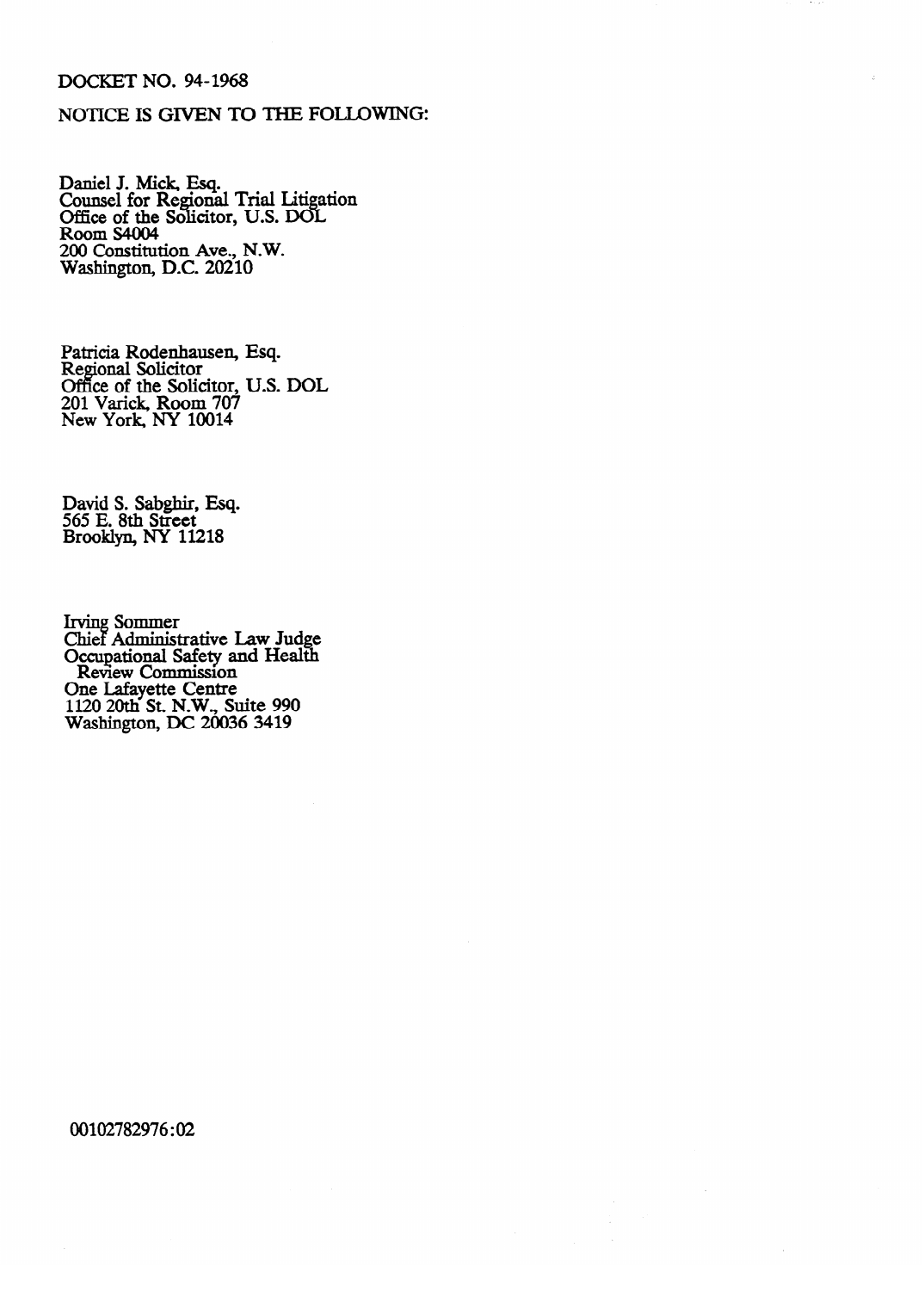## DOCKET NO. 94-1968

## NOTICE IS GIVEN TO THE FOLLOWING:

Daniel J. Mick, Esq. Counsel for Regional Trial Litigation Office of the Solicitor, U.S. DOL Room s4004 200 Constitution Ave., N.W. Washington, D.C. 20210

Patricia Rodenhausen,<br>Regional Soligitor Regional Solicitor<br>Office of the Solic Esq. Office of the Solicitor, U.S. DOL<br>201 Varick, Room 707 201 Valick, Room 707<br>New York NV 10014 New York, NY 10014

David S. Sabgun, Esq.<br>565 F. 8th Street 565 E. 8th Street Brooklyn, NY 11218

The Sommon Occupational Safety and Health Review Commission ne Lafayette Centre 1120 20th St. N.W., St Washington, DC 20036 3419 Washington, DC 20036 3419

00102782976:02

 $\sim$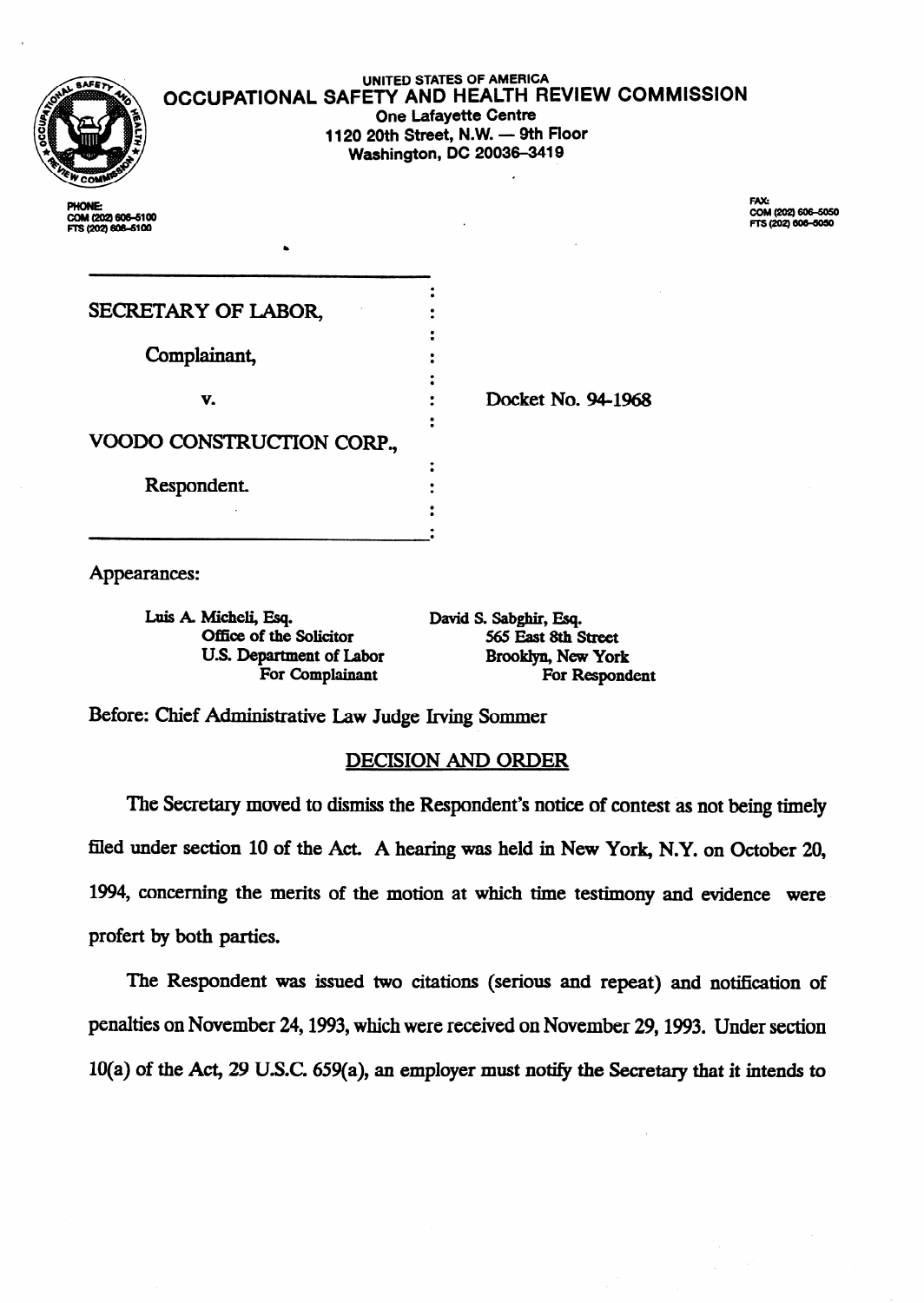

UNITED **STATES OF AMERICA OCCUPATIONAL SAFETY AND HEALTH REVIEW COMMISSION One Lafayette Centre 1120 20th Street, N.W. - 9th Floor Washington, DC 20036-3419** 

**.** 

**DUONE-**COM (202) 606-6100<br>FTS (202) 606-6100 FAX:<br>COM (202) 606-5050<br>FTS (202) 606-5050

| SECRETARY OF LABOR,       |                    |
|---------------------------|--------------------|
| Complainant,              |                    |
| v.                        | Docket No. 94-1968 |
| VOODO CONSTRUCTION CORP., |                    |
| Respondent.               |                    |
|                           |                    |

Appearances:

Luis A. Micheli, Esq. **bis David S. Sabghir, Esq. Office of the Solicitor** 565 East 8th Street **Office of the Solicitor U.S. Department of Labor Brooklyn, New York** 

For Complainant **For Respondent** 

Before: Chief Administrative Law Judge Irving Sommer

## DECISION AND ORDER

The Secretary moved to dismiss the Respondent's notice of contest as not being timely filed under section 10 of the Act. A hearing was held in New York, N.Y. on October 20, 1994, concerning the merits of the motion at which time testimony and evidence were. profert by both parties.

The Respondent was issued two citations (serious and repeat) and notification of penalties on November 24,1993, which were received on November 29,1993. Under section **IO(a) of the Act,** 29 USC. 659(a), an employer must notify the Secretary that it intends to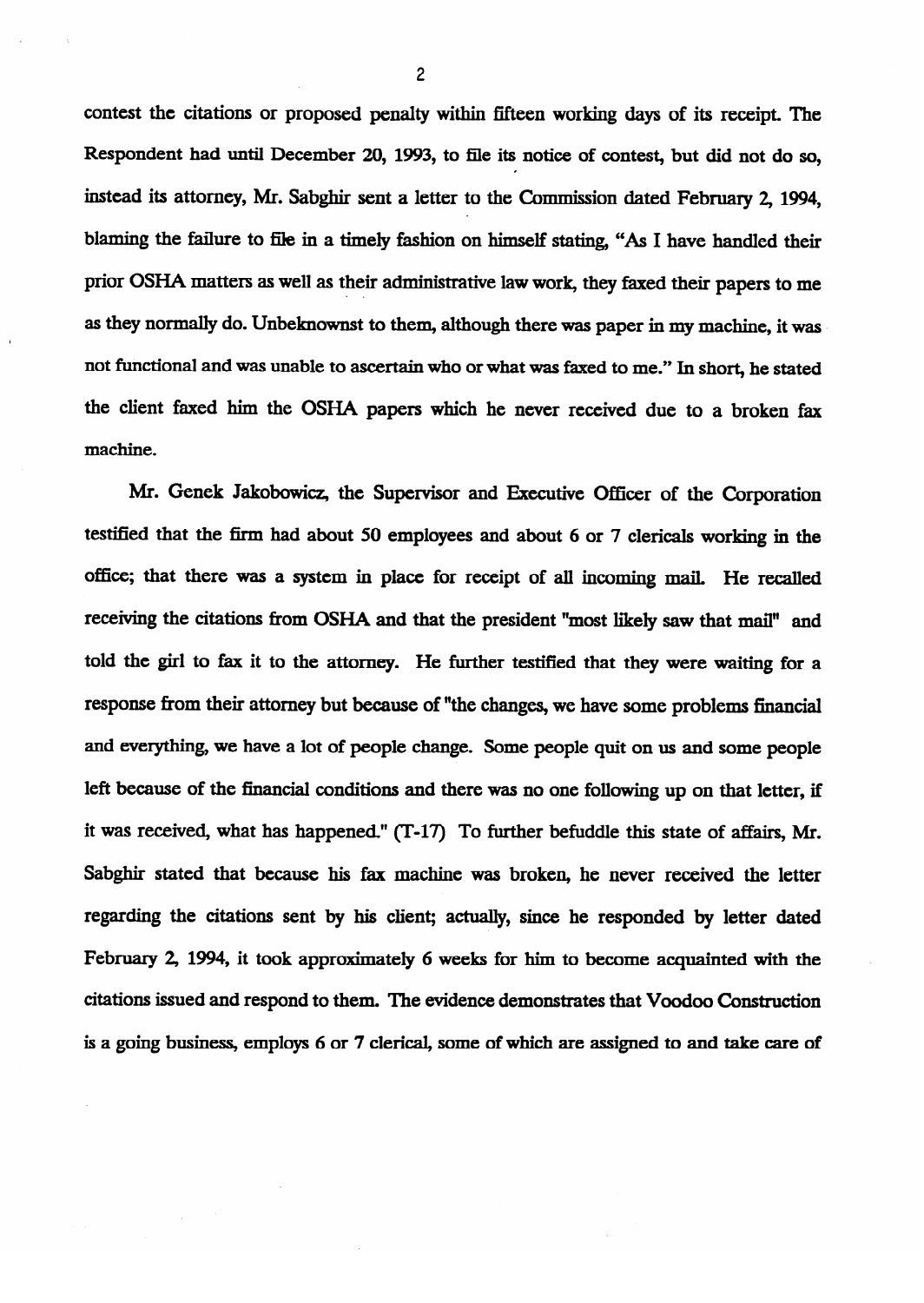contest the citations or proposed penalty within fifteen working days of its receipt. The Respondent had until December 20, 1993, to file its notice of contest, but did not do so, **instead its attorney, Mr.** Sabghir sent a **letter to the Commission dated** February 2, 1994, blaming the failure to file in a timely fashion on himself stating, "As I have handled their prior OSHA matters as well as their administrative law work, they faxed their papers to me as they normally do. Unbeknownst to them, although there was paper in my machine, it was **not functional and was** unable to ascertain who or what was faxed to me." In short, he stated the client faxed him the OSHA papers which he never received due to a broken fax machine.

Mr. Genek Jakobowicz, the Supervisor and Executive Officer of the Corporation  $M_{\rm eff}$  Jakob $\sim$  Gene $K_{\rm eff}$  , the Supervisor and Executive Officer of the Corporation Officer of the Corporation testified that the firm had about 50 employees and about 6 or 7 clericals working in the told the girl to fax it to the attorney. He further testified that they were waiting for a response from their attorney but because of "the changes, we have some problems financial and everything, we have a lot of people change. Some people quit on us and some people left because of the financial conditions and there was no one following up on that letter, if it was received, what has happened." (T-17) To further befuddle this state of affairs, Mr. Sabghir stated that because his fax machine was broken, he never received the letter regarding the citations sent by his client; actually, since he responded by letter dated February 2, 1994, it took approximately 6 weeks for him to become acquainted with the citations issued and respond to them. The evidence demonstrates that Voodoo Construction is a going business, employs 6 or 7 clerical, some of which are assigned to and take care of

*2*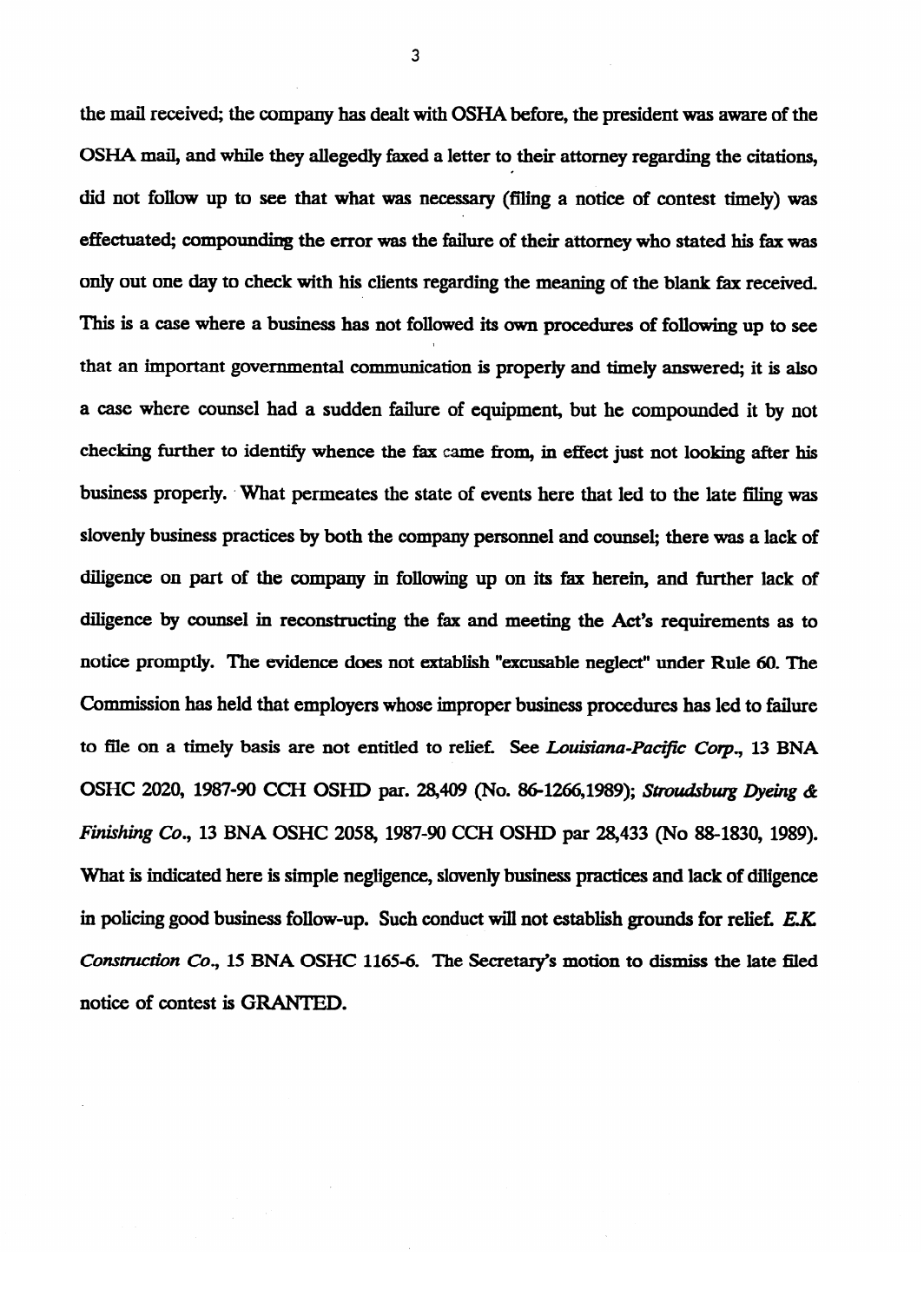the mail received; the company has dealt with OSHA before, the president was aware of the OSHA mail, and while they allegedly faxed a letter to their attorney regarding the citations, did **not** follow up **to see that what was** necessary (filing **a** notice of **contest timely) was**  effectuated; compounding the error was the failure of their attorney who stated his fax was only out one day to check with his clients regarding the meaning of the blank fax received. This is a case where a business has not followed its own **procedures of following** up to see that an important governmental communication is properly and timely answered; it is also a case where counsel had a sudden failure of equipment, but he compounded it by notice  $\mathcal{L}$ checking further to identify whence the fax came from, in effect just not looking after his checking further to identify whence the fax k-e from, in effect in effect in effect in effect  $\alpha$ business properly. What permeates the state of events here that led to the late filing was slovenly business practices by both the company personnel and counsel; there was a lack of diligence by counsel in reconstructing the fax and meeting the Act's requirements as to notice promptly. The evidence does not extablish "excusable neglect" under Rule 60. The Commission has held that employers whose improper business procedures has led to failure to file on a timely basis are not entitled to relief. See Louisiana-Pacific Corp., 13 BNA OSHC 2020, 1987-90 CCH OSHD par. 28,409 (No. 86-1266,1989); Stroudsburg Dyeing & Finishing Co., 13 BNA OSHC 2058, 1987-90 CCH OSHD par 28,433 (No. 88-1830, 1989). What is indicated here is simple negligence, slovenly business practices and lack of diligence in policing good business follow-up. Such conduct will not establish grounds for relief. E.K. Construction Co., 15 BNA OSHC 1165-6. The Secretary's motion to dismiss the late filed notice of contest is GRANTED.

*3*